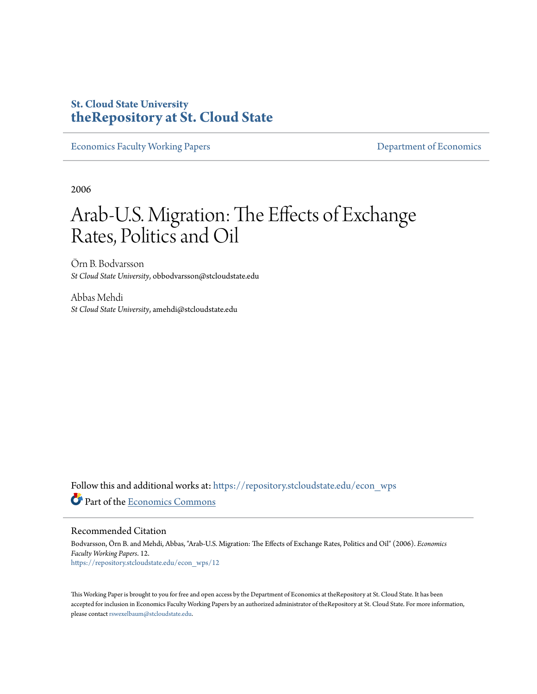# **St. Cloud State University [theRepository at St. Cloud State](https://repository.stcloudstate.edu?utm_source=repository.stcloudstate.edu%2Fecon_wps%2F12&utm_medium=PDF&utm_campaign=PDFCoverPages)**

[Economics Faculty Working Papers](https://repository.stcloudstate.edu/econ_wps?utm_source=repository.stcloudstate.edu%2Fecon_wps%2F12&utm_medium=PDF&utm_campaign=PDFCoverPages) **Exercise 2018** [Department of Economics](https://repository.stcloudstate.edu/econ?utm_source=repository.stcloudstate.edu%2Fecon_wps%2F12&utm_medium=PDF&utm_campaign=PDFCoverPages)

2006

# Arab-U.S. Migration: The Effects of Exchange Rates, Politics and Oil

Örn B. Bodvarsson *St Cloud State University*, obbodvarsson@stcloudstate.edu

Abbas Mehdi *St Cloud State University*, amehdi@stcloudstate.edu

Follow this and additional works at: [https://repository.stcloudstate.edu/econ\\_wps](https://repository.stcloudstate.edu/econ_wps?utm_source=repository.stcloudstate.edu%2Fecon_wps%2F12&utm_medium=PDF&utm_campaign=PDFCoverPages) Part of the [Economics Commons](http://network.bepress.com/hgg/discipline/340?utm_source=repository.stcloudstate.edu%2Fecon_wps%2F12&utm_medium=PDF&utm_campaign=PDFCoverPages)

Recommended Citation

Bodvarsson, Örn B. and Mehdi, Abbas, "Arab-U.S. Migration: The Effects of Exchange Rates, Politics and Oil" (2006). *Economics Faculty Working Papers*. 12. [https://repository.stcloudstate.edu/econ\\_wps/12](https://repository.stcloudstate.edu/econ_wps/12?utm_source=repository.stcloudstate.edu%2Fecon_wps%2F12&utm_medium=PDF&utm_campaign=PDFCoverPages)

This Working Paper is brought to you for free and open access by the Department of Economics at theRepository at St. Cloud State. It has been accepted for inclusion in Economics Faculty Working Papers by an authorized administrator of theRepository at St. Cloud State. For more information, please contact [rswexelbaum@stcloudstate.edu.](mailto:rswexelbaum@stcloudstate.edu)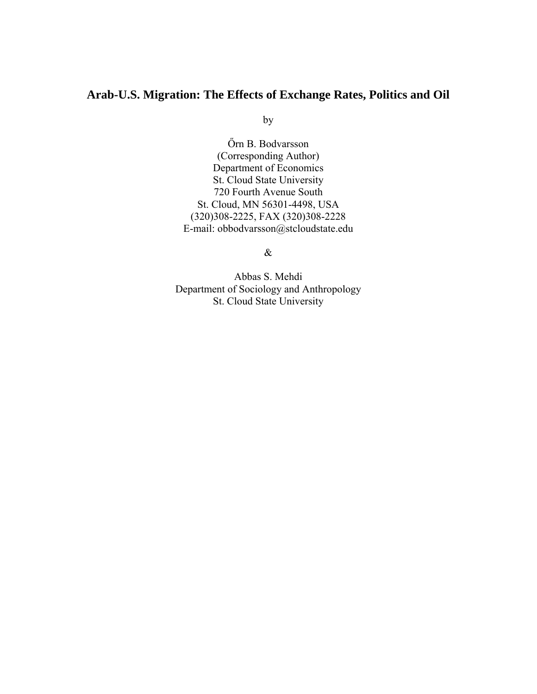# **Arab-U.S. Migration: The Effects of Exchange Rates, Politics and Oil**

by

Őrn B. Bodvarsson (Corresponding Author) Department of Economics St. Cloud State University 720 Fourth Avenue South St. Cloud, MN 56301-4498, USA (320)308-2225, FAX (320)308-2228 E-mail: obbodvarsson@stcloudstate.edu

&

Abbas S. Mehdi Department of Sociology and Anthropology St. Cloud State University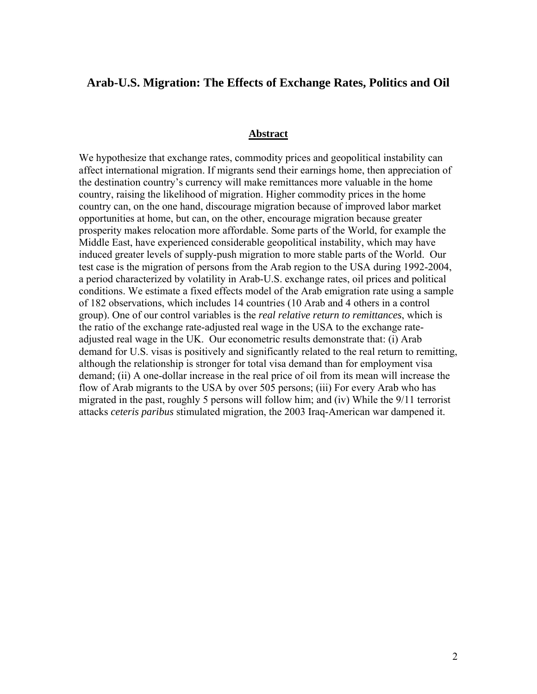# **Arab-U.S. Migration: The Effects of Exchange Rates, Politics and Oil**

#### **Abstract**

We hypothesize that exchange rates, commodity prices and geopolitical instability can affect international migration. If migrants send their earnings home, then appreciation of the destination country's currency will make remittances more valuable in the home country, raising the likelihood of migration. Higher commodity prices in the home country can, on the one hand, discourage migration because of improved labor market opportunities at home, but can, on the other, encourage migration because greater prosperity makes relocation more affordable. Some parts of the World, for example the Middle East, have experienced considerable geopolitical instability, which may have induced greater levels of supply-push migration to more stable parts of the World. Our test case is the migration of persons from the Arab region to the USA during 1992-2004, a period characterized by volatility in Arab-U.S. exchange rates, oil prices and political conditions. We estimate a fixed effects model of the Arab emigration rate using a sample of 182 observations, which includes 14 countries (10 Arab and 4 others in a control group). One of our control variables is the *real relative return to remittances*, which is the ratio of the exchange rate-adjusted real wage in the USA to the exchange rateadjusted real wage in the UK. Our econometric results demonstrate that: (i) Arab demand for U.S. visas is positively and significantly related to the real return to remitting, although the relationship is stronger for total visa demand than for employment visa demand; (ii) A one-dollar increase in the real price of oil from its mean will increase the flow of Arab migrants to the USA by over 505 persons; (iii) For every Arab who has migrated in the past, roughly 5 persons will follow him; and (iv) While the 9/11 terrorist attacks *ceteris paribus* stimulated migration, the 2003 Iraq-American war dampened it.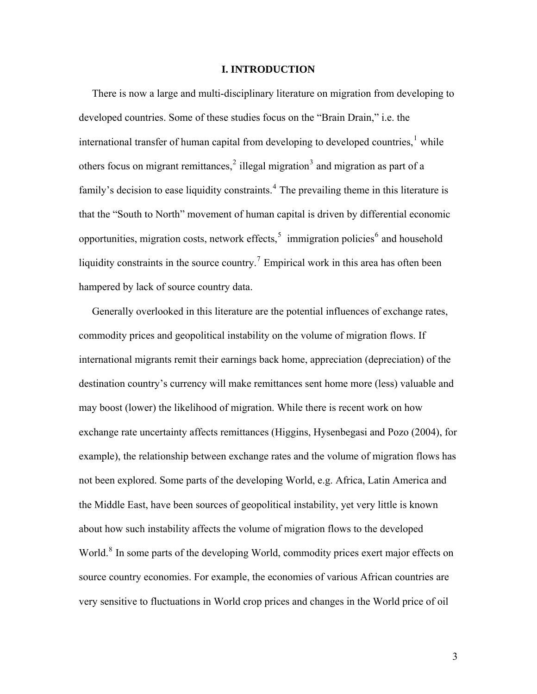## **I. INTRODUCTION**

 There is now a large and multi-disciplinary literature on migration from developing to developed countries. Some of these studies focus on the "Brain Drain," i.e. the international transfer of human capital from developing to developed countries, $<sup>1</sup>$  $<sup>1</sup>$  $<sup>1</sup>$  while</sup> others focus on migrant remittances, $2$  illegal migration<sup>[3](#page-31-1)</sup> and migration as part of a family's decision to ease liquidity constraints.<sup>[4](#page-31-1)</sup> The prevailing theme in this literature is that the "South to North" movement of human capital is driven by differential economic opportunities, migration costs, network effects,  $\frac{1}{2}$  immigration policies<sup>[6](#page-31-1)</sup> and household liquidity constraints in the source country.<sup>[7](#page-31-1)</sup> Empirical work in this area has often been hampered by lack of source country data.

 Generally overlooked in this literature are the potential influences of exchange rates, commodity prices and geopolitical instability on the volume of migration flows. If international migrants remit their earnings back home, appreciation (depreciation) of the destination country's currency will make remittances sent home more (less) valuable and may boost (lower) the likelihood of migration. While there is recent work on how exchange rate uncertainty affects remittances (Higgins, Hysenbegasi and Pozo (2004), for example), the relationship between exchange rates and the volume of migration flows has not been explored. Some parts of the developing World, e.g. Africa, Latin America and the Middle East, have been sources of geopolitical instability, yet very little is known about how such instability affects the volume of migration flows to the developed World.<sup>[8](#page-31-1)</sup> In some parts of the developing World, commodity prices exert major effects on source country economies. For example, the economies of various African countries are very sensitive to fluctuations in World crop prices and changes in the World price of oil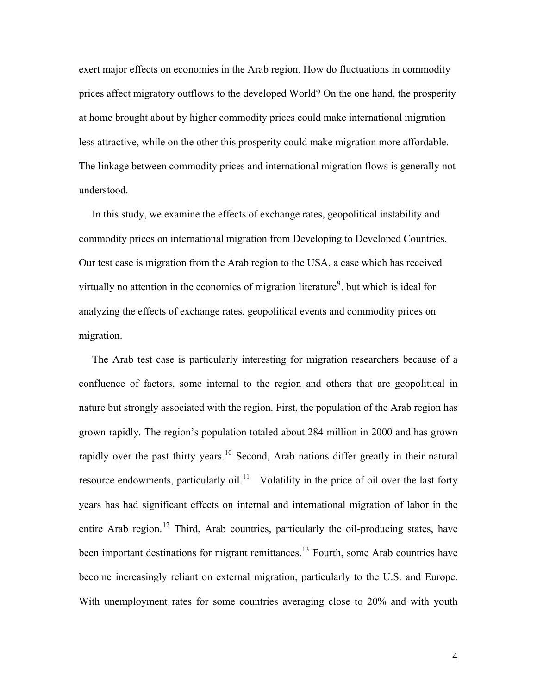exert major effects on economies in the Arab region. How do fluctuations in commodity prices affect migratory outflows to the developed World? On the one hand, the prosperity at home brought about by higher commodity prices could make international migration less attractive, while on the other this prosperity could make migration more affordable. The linkage between commodity prices and international migration flows is generally not understood.

 In this study, we examine the effects of exchange rates, geopolitical instability and commodity prices on international migration from Developing to Developed Countries. Our test case is migration from the Arab region to the USA, a case which has received virtually no attention in the economics of migration literature<sup>[9](#page-31-1)</sup>, but which is ideal for analyzing the effects of exchange rates, geopolitical events and commodity prices on migration.

 The Arab test case is particularly interesting for migration researchers because of a confluence of factors, some internal to the region and others that are geopolitical in nature but strongly associated with the region. First, the population of the Arab region has grown rapidly*.* The region's population totaled about 284 million in 2000 and has grown rapidly over the past thirty years.<sup>[10](#page-31-1)</sup> Second, Arab nations differ greatly in their natural resource endowments, particularly oil.<sup>[11](#page-31-1)</sup> Volatility in the price of oil over the last forty years has had significant effects on internal and international migration of labor in the entire Arab region.<sup>[12](#page-31-1)</sup> Third, Arab countries, particularly the oil-producing states, have been important destinations for migrant remittances.<sup>[13](#page-31-1)</sup> Fourth, some Arab countries have become increasingly reliant on external migration, particularly to the U.S. and Europe. With unemployment rates for some countries averaging close to 20% and with youth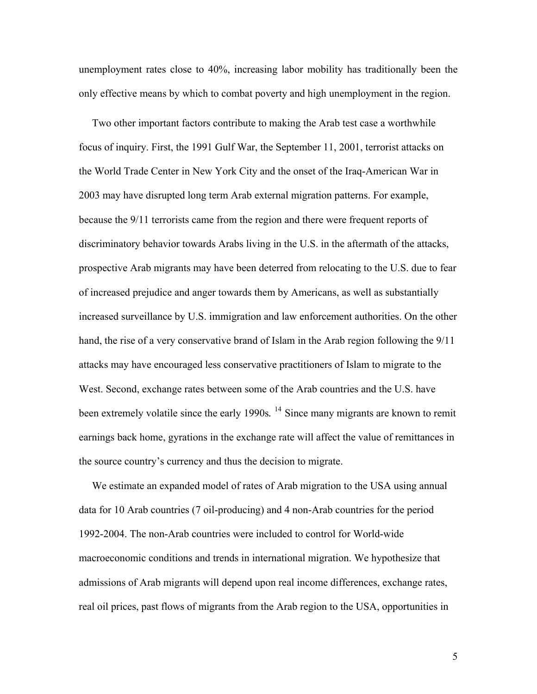unemployment rates close to 40%, increasing labor mobility has traditionally been the only effective means by which to combat poverty and high unemployment in the region.

Two other important factors contribute to making the Arab test case a worthwhile focus of inquiry. First, the 1991 Gulf War, the September 11, 2001, terrorist attacks on the World Trade Center in New York City and the onset of the Iraq-American War in 2003 may have disrupted long term Arab external migration patterns. For example, because the 9/11 terrorists came from the region and there were frequent reports of discriminatory behavior towards Arabs living in the U.S. in the aftermath of the attacks, prospective Arab migrants may have been deterred from relocating to the U.S. due to fear of increased prejudice and anger towards them by Americans, as well as substantially increased surveillance by U.S. immigration and law enforcement authorities. On the other hand, the rise of a very conservative brand of Islam in the Arab region following the 9/11 attacks may have encouraged less conservative practitioners of Islam to migrate to the West. Second, exchange rates between some of the Arab countries and the U.S. have been extremely volatile since the early 1990s.<sup>[14](#page-31-1)</sup> Since many migrants are known to remit earnings back home, gyrations in the exchange rate will affect the value of remittances in the source country's currency and thus the decision to migrate.

 We estimate an expanded model of rates of Arab migration to the USA using annual data for 10 Arab countries (7 oil-producing) and 4 non-Arab countries for the period 1992-2004. The non-Arab countries were included to control for World-wide macroeconomic conditions and trends in international migration. We hypothesize that admissions of Arab migrants will depend upon real income differences, exchange rates, real oil prices, past flows of migrants from the Arab region to the USA, opportunities in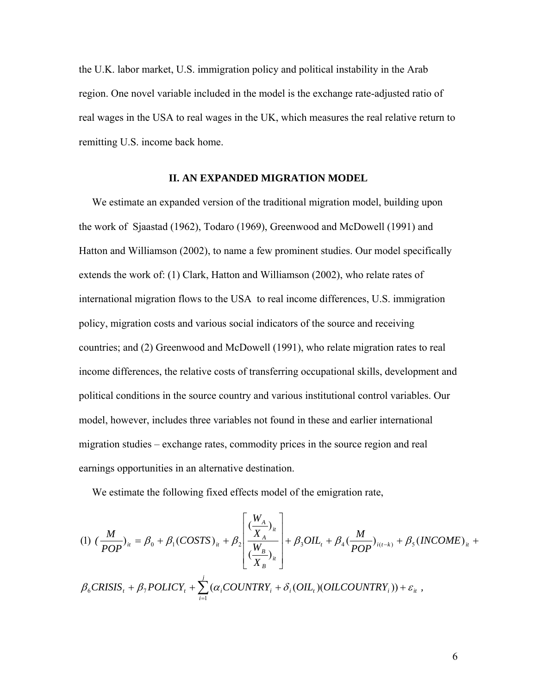the U.K. labor market, U.S. immigration policy and political instability in the Arab region. One novel variable included in the model is the exchange rate-adjusted ratio of real wages in the USA to real wages in the UK, which measures the real relative return to remitting U.S. income back home.

## **II. AN EXPANDED MIGRATION MODEL**

 We estimate an expanded version of the traditional migration model, building upon the work of Sjaastad (1962), Todaro (1969), Greenwood and McDowell (1991) and Hatton and Williamson (2002), to name a few prominent studies. Our model specifically extends the work of: (1) Clark, Hatton and Williamson (2002), who relate rates of international migration flows to the USA to real income differences, U.S. immigration policy, migration costs and various social indicators of the source and receiving countries; and (2) Greenwood and McDowell (1991), who relate migration rates to real income differences, the relative costs of transferring occupational skills, development and political conditions in the source country and various institutional control variables. Our model, however, includes three variables not found in these and earlier international migration studies – exchange rates, commodity prices in the source region and real earnings opportunities in an alternative destination.

We estimate the following fixed effects model of the emigration rate,

$$
(1) \left(\frac{M}{POP}\right)_{ii} = \beta_0 + \beta_1(COSTS)_{ii} + \beta_2 \left[\frac{\left(\frac{W_A}{X_A}\right)_{ii}}{\left(\frac{W_B}{X_B}\right)_{ii}}\right] + \beta_3 OIL_t + \beta_4 \left(\frac{M}{POP}\right)_{i(t-k)} + \beta_5 (INCOME)_{ii} + \beta_6 CRISIS_t + \beta_7 POLICY_t + \sum_{i=1}^j (\alpha_i COUNTRY_i + \delta_i (OIL_t)(OILCOUNTRY_i)) + \varepsilon_{ii} ,
$$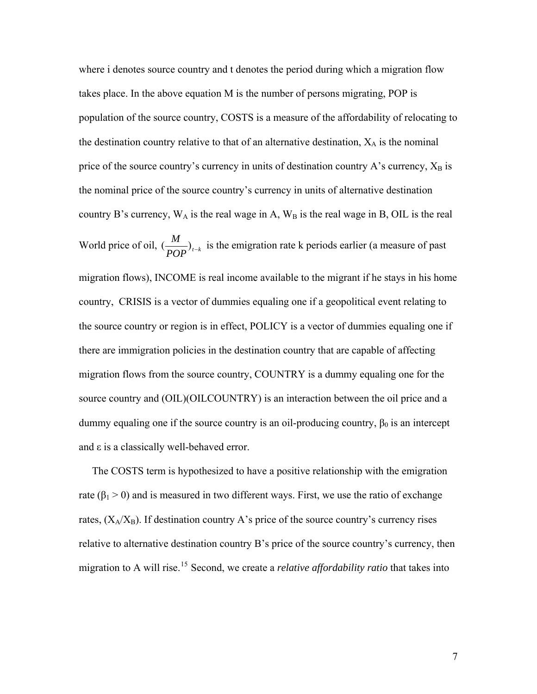where i denotes source country and t denotes the period during which a migration flow takes place. In the above equation M is the number of persons migrating, POP is population of the source country, COSTS is a measure of the affordability of relocating to the destination country relative to that of an alternative destination,  $X_A$  is the nominal price of the source country's currency in units of destination country A's currency,  $X_B$  is the nominal price of the source country's currency in units of alternative destination country B's currency,  $W_A$  is the real wage in A,  $W_B$  is the real wage in B, OIL is the real World price of oil,  $\left(\frac{M}{POP}\right)_{t-k}$  is the emigration rate k periods earlier (a measure of past migration flows), INCOME is real income available to the migrant if he stays in his home country, CRISIS is a vector of dummies equaling one if a geopolitical event relating to the source country or region is in effect, POLICY is a vector of dummies equaling one if there are immigration policies in the destination country that are capable of affecting migration flows from the source country, COUNTRY is a dummy equaling one for the source country and (OIL)(OILCOUNTRY) is an interaction between the oil price and a dummy equaling one if the source country is an oil-producing country,  $\beta_0$  is an intercept and ε is a classically well-behaved error.

 The COSTS term is hypothesized to have a positive relationship with the emigration rate ( $\beta_1 > 0$ ) and is measured in two different ways. First, we use the ratio of exchange rates,  $(X_A/X_B)$ . If destination country A's price of the source country's currency rises relative to alternative destination country B's price of the source country's currency, then migration to A will rise.[15](#page-31-1) Second, we create a *relative affordability ratio* that takes into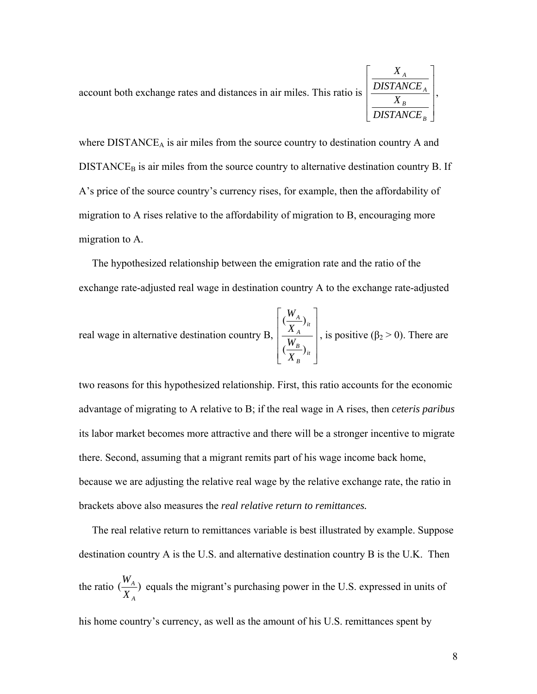

where  $DISTANCE<sub>A</sub>$  is air miles from the source country to destination country A and  $DISTANCE<sub>B</sub>$  is air miles from the source country to alternative destination country B. If A's price of the source country's currency rises, for example, then the affordability of migration to A rises relative to the affordability of migration to B, encouraging more migration to A.

 The hypothesized relationship between the emigration rate and the ratio of the exchange rate-adjusted real wage in destination country A to the exchange rate-adjusted

real wage in alternative destination country B, 
$$
\begin{bmatrix} \left(\frac{W_A}{X_A}\right)_u \\ \left(\frac{W_B}{X_B}\right)_u \end{bmatrix}
$$
, is positive ( $\beta_2 > 0$ ). There are

two reasons for this hypothesized relationship. First, this ratio accounts for the economic advantage of migrating to A relative to B; if the real wage in A rises, then *ceteris paribus* its labor market becomes more attractive and there will be a stronger incentive to migrate there. Second, assuming that a migrant remits part of his wage income back home, because we are adjusting the relative real wage by the relative exchange rate, the ratio in brackets above also measures the *real relative return to remittances.*

 The real relative return to remittances variable is best illustrated by example. Suppose destination country A is the U.S. and alternative destination country B is the U.K. Then the ratio  $\left(\frac{H_A}{H}\right)$ *A A X*  $\frac{W_A}{W_A}$ ) equals the migrant's purchasing power in the U.S. expressed in units of his home country's currency, as well as the amount of his U.S. remittances spent by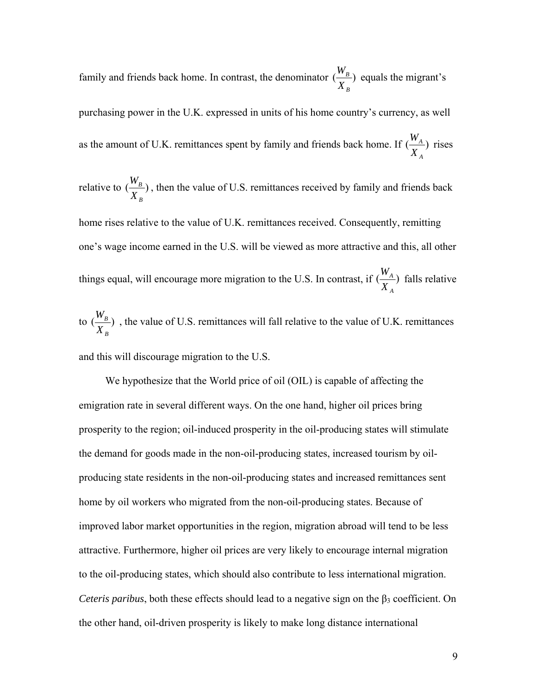family and friends back home. In contrast, the denominator  $\left(\frac{H_B}{H}\right)$ *B B X*  $\frac{W_B}{W}$  equals the migrant's purchasing power in the U.K. expressed in units of his home country's currency, as well as the amount of U.K. remittances spent by family and friends back home. If  $(\frac{H_A}{\sigma})$ *A A X*  $\frac{W_A}{V}$ ) rises

relative to  $\binom{H_B}{H}$ *B B X*  $\frac{W_B}{W}$ ), then the value of U.S. remittances received by family and friends back

home rises relative to the value of U.K. remittances received. Consequently, remitting one's wage income earned in the U.S. will be viewed as more attractive and this, all other things equal, will encourage more migration to the U.S. In contrast, if  $(\frac{H_A}{\sigma})$ *A A X*  $\frac{W_A}{W}$  falls relative

to  $\left(\frac{I'B}{I} \right)$ *B B X*  $\frac{W_B}{W}$ , the value of U.S. remittances will fall relative to the value of U.K. remittances and this will discourage migration to the U.S.

We hypothesize that the World price of oil (OIL) is capable of affecting the emigration rate in several different ways. On the one hand, higher oil prices bring prosperity to the region; oil-induced prosperity in the oil-producing states will stimulate the demand for goods made in the non-oil-producing states, increased tourism by oilproducing state residents in the non-oil-producing states and increased remittances sent home by oil workers who migrated from the non-oil-producing states. Because of improved labor market opportunities in the region, migration abroad will tend to be less attractive. Furthermore, higher oil prices are very likely to encourage internal migration to the oil-producing states, which should also contribute to less international migration. *Ceteris paribus*, both these effects should lead to a negative sign on the  $\beta_3$  coefficient. On the other hand, oil-driven prosperity is likely to make long distance international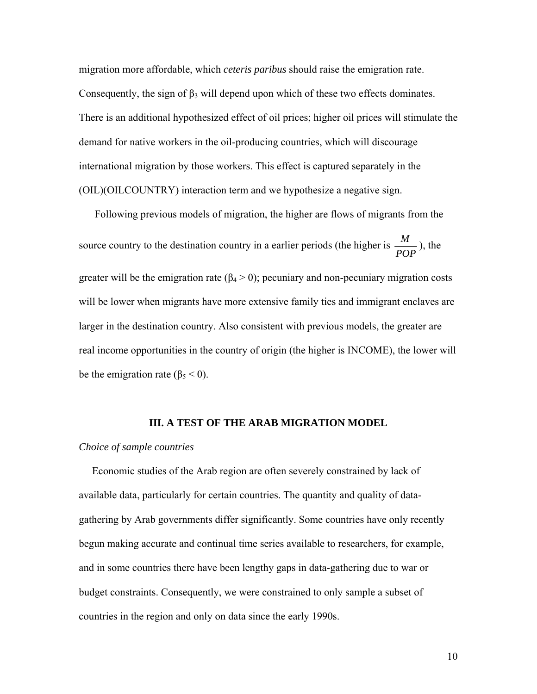migration more affordable, which *ceteris paribus* should raise the emigration rate. Consequently, the sign of  $\beta_3$  will depend upon which of these two effects dominates. There is an additional hypothesized effect of oil prices; higher oil prices will stimulate the demand for native workers in the oil-producing countries, which will discourage international migration by those workers. This effect is captured separately in the (OIL)(OILCOUNTRY) interaction term and we hypothesize a negative sign.

 Following previous models of migration, the higher are flows of migrants from the source country to the destination country in a earlier periods (the higher is  $\frac{M}{POP}$ ), the greater will be the emigration rate  $(\beta_4 > 0)$ ; pecuniary and non-pecuniary migration costs will be lower when migrants have more extensive family ties and immigrant enclaves are larger in the destination country. Also consistent with previous models, the greater are real income opportunities in the country of origin (the higher is INCOME), the lower will be the emigration rate ( $\beta_5 < 0$ ).

#### **III. A TEST OF THE ARAB MIGRATION MODEL**

#### *Choice of sample countries*

 Economic studies of the Arab region are often severely constrained by lack of available data, particularly for certain countries. The quantity and quality of datagathering by Arab governments differ significantly. Some countries have only recently begun making accurate and continual time series available to researchers, for example, and in some countries there have been lengthy gaps in data-gathering due to war or budget constraints. Consequently, we were constrained to only sample a subset of countries in the region and only on data since the early 1990s.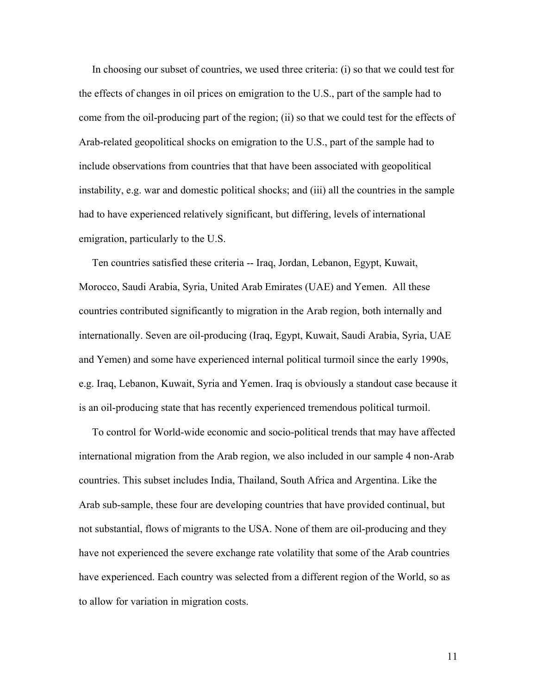In choosing our subset of countries, we used three criteria: (i) so that we could test for the effects of changes in oil prices on emigration to the U.S., part of the sample had to come from the oil-producing part of the region; (ii) so that we could test for the effects of Arab-related geopolitical shocks on emigration to the U.S., part of the sample had to include observations from countries that that have been associated with geopolitical instability, e.g. war and domestic political shocks; and (iii) all the countries in the sample had to have experienced relatively significant, but differing, levels of international emigration, particularly to the U.S.

 Ten countries satisfied these criteria -- Iraq, Jordan, Lebanon, Egypt, Kuwait, Morocco, Saudi Arabia, Syria, United Arab Emirates (UAE) and Yemen. All these countries contributed significantly to migration in the Arab region, both internally and internationally. Seven are oil-producing (Iraq, Egypt, Kuwait, Saudi Arabia, Syria, UAE and Yemen) and some have experienced internal political turmoil since the early 1990s, e.g. Iraq, Lebanon, Kuwait, Syria and Yemen. Iraq is obviously a standout case because it is an oil-producing state that has recently experienced tremendous political turmoil.

 To control for World-wide economic and socio-political trends that may have affected international migration from the Arab region, we also included in our sample 4 non-Arab countries. This subset includes India, Thailand, South Africa and Argentina. Like the Arab sub-sample, these four are developing countries that have provided continual, but not substantial, flows of migrants to the USA. None of them are oil-producing and they have not experienced the severe exchange rate volatility that some of the Arab countries have experienced. Each country was selected from a different region of the World, so as to allow for variation in migration costs.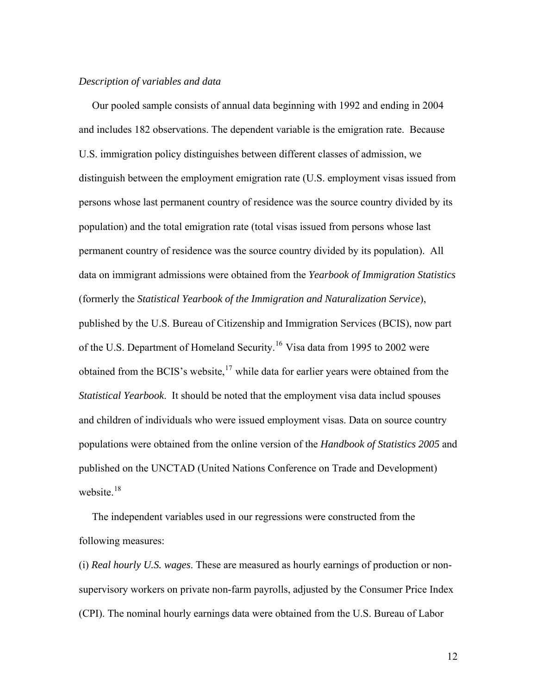# *Description of variables and data*

 Our pooled sample consists of annual data beginning with 1992 and ending in 2004 and includes 182 observations. The dependent variable is the emigration rate. Because U.S. immigration policy distinguishes between different classes of admission, we distinguish between the employment emigration rate (U.S. employment visas issued from persons whose last permanent country of residence was the source country divided by its population) and the total emigration rate (total visas issued from persons whose last permanent country of residence was the source country divided by its population). All data on immigrant admissions were obtained from the *Yearbook of Immigration Statistics* (formerly the *Statistical Yearbook of the Immigration and Naturalization Service*), published by the U.S. Bureau of Citizenship and Immigration Services (BCIS), now part of the U.S. Department of Homeland Security.<sup>[16](#page-31-1)</sup> Visa data from 1995 to 2002 were obtained from the BCIS's website, $17$  while data for earlier years were obtained from the *Statistical Yearbook*. It should be noted that the employment visa data includ spouses and children of individuals who were issued employment visas. Data on source country populations were obtained from the online version of the *Handbook of Statistics 2005* and published on the UNCTAD (United Nations Conference on Trade and Development) website. $18$ 

 The independent variables used in our regressions were constructed from the following measures:

(i) *Real hourly U.S. wages*. These are measured as hourly earnings of production or nonsupervisory workers on private non-farm payrolls, adjusted by the Consumer Price Index (CPI). The nominal hourly earnings data were obtained from the U.S. Bureau of Labor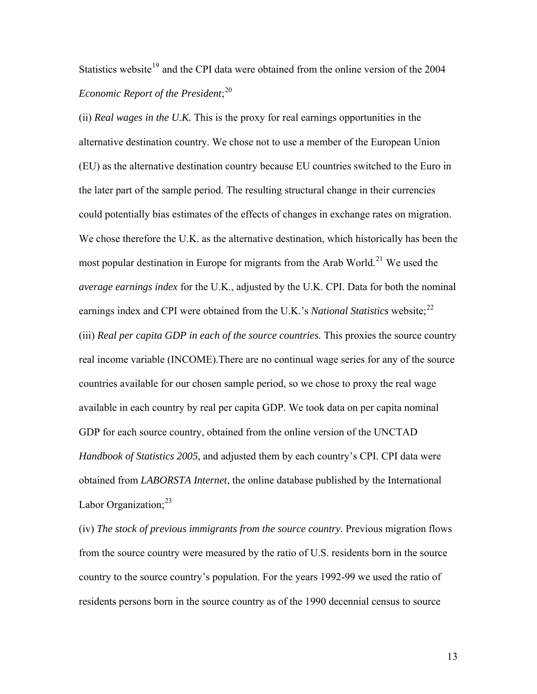# Statistics website<sup>[19](#page-31-1)</sup> and the CPI data were obtained from the online version of the  $2004$ *Economic Report of the President*; [20](#page-31-1)

(ii) *Real wages in the U.K.* This is the proxy for real earnings opportunities in the alternative destination country. We chose not to use a member of the European Union (EU) as the alternative destination country because EU countries switched to the Euro in the later part of the sample period. The resulting structural change in their currencies could potentially bias estimates of the effects of changes in exchange rates on migration. We chose therefore the U.K. as the alternative destination, which historically has been the most popular destination in Europe for migrants from the Arab World.<sup>[21](#page-31-1)</sup> We used the *average earnings index* for the U.K., adjusted by the U.K. CPI. Data for both the nominal earnings index and CPI were obtained from the U.K.'s *National Statistics* website;<sup>[22](#page-31-1)</sup> (iii) *Real per capita GDP in each of the source countries.* This proxies the source country real income variable (INCOME).There are no continual wage series for any of the source countries available for our chosen sample period, so we chose to proxy the real wage available in each country by real per capita GDP. We took data on per capita nominal GDP for each source country, obtained from the online version of the UNCTAD *Handbook of Statistics 2005,* and adjusted them by each country's CPI. CPI data were obtained from *LABORSTA Internet*, the online database published by the International Labor Organization; $^{23}$  $^{23}$  $^{23}$ 

(iv) *The stock of previous immigrants from the source country*. Previous migration flows from the source country were measured by the ratio of U.S. residents born in the source country to the source country's population. For the years 1992-99 we used the ratio of residents persons born in the source country as of the 1990 decennial census to source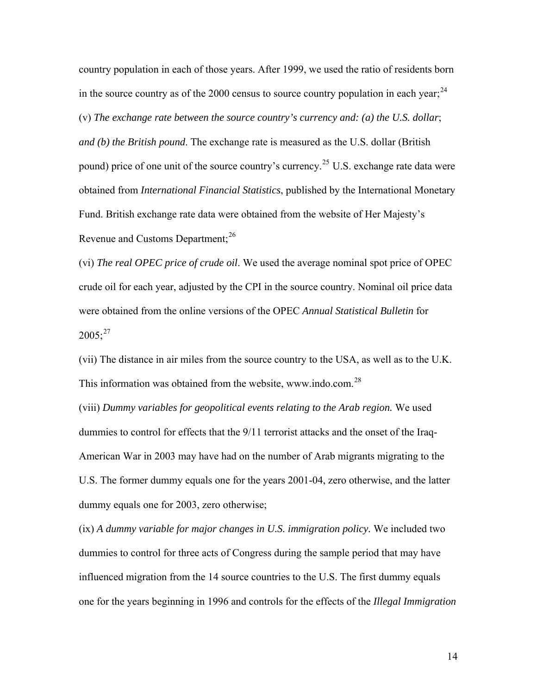country population in each of those years. After 1999, we used the ratio of residents born in the source country as of the 2000 census to source country population in each year;  $^{24}$  $^{24}$  $^{24}$ (v) *The exchange rate between the source country's currency and: (a) the U.S. dollar*; *and (b) the British pound*. The exchange rate is measured as the U.S. dollar (British pound) price of one unit of the source country's currency.<sup>[25](#page-31-1)</sup> U.S. exchange rate data were obtained from *International Financial Statistics*, published by the International Monetary Fund. British exchange rate data were obtained from the website of Her Majesty's Revenue and Customs Department;<sup>[26](#page-31-1)</sup>

(vi) *The real OPEC price of crude oil*. We used the average nominal spot price of OPEC crude oil for each year, adjusted by the CPI in the source country. Nominal oil price data were obtained from the online versions of the OPEC *Annual Statistical Bulletin* for  $2005$ ;<sup>[27](#page-31-1)</sup>

(vii) The distance in air miles from the source country to the USA, as well as to the U.K. This information was obtained from the website, www.indo.com.<sup>[28](#page-31-1)</sup>

(viii) *Dummy variables for geopolitical events relating to the Arab region.* We used dummies to control for effects that the 9/11 terrorist attacks and the onset of the Iraq-American War in 2003 may have had on the number of Arab migrants migrating to the U.S. The former dummy equals one for the years 2001-04, zero otherwise, and the latter dummy equals one for 2003, zero otherwise;

(ix) *A dummy variable for major changes in U.S. immigration policy.* We included two dummies to control for three acts of Congress during the sample period that may have influenced migration from the 14 source countries to the U.S. The first dummy equals one for the years beginning in 1996 and controls for the effects of the *Illegal Immigration*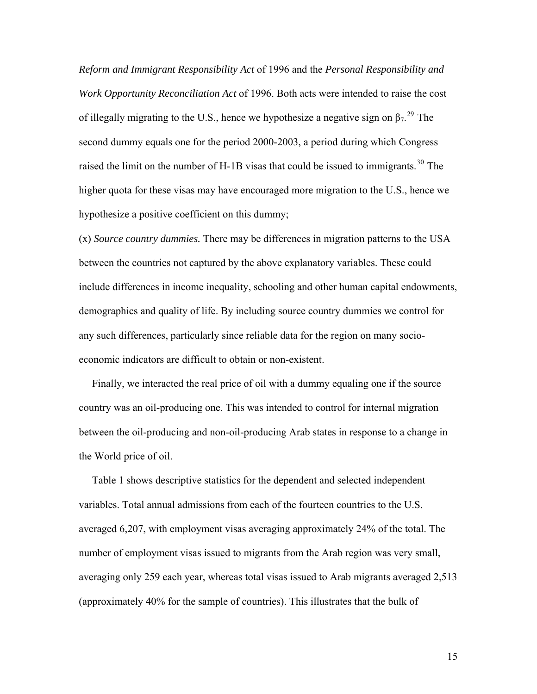*Reform and Immigrant Responsibility Act* of 1996 and the *Personal Responsibility and Work Opportunity Reconciliation Act* of 1996. Both acts were intended to raise the cost of illegally migrating to the U.S., hence we hypothesize a negative sign on  $\beta_7$ <sup>[29](#page-31-1)</sup>. The second dummy equals one for the period 2000-2003, a period during which Congress raised the limit on the number of H-1B visas that could be issued to immigrants.<sup>[30](#page-31-1)</sup> The higher quota for these visas may have encouraged more migration to the U.S., hence we hypothesize a positive coefficient on this dummy;

(x) *Source country dummies.* There may be differences in migration patterns to the USA between the countries not captured by the above explanatory variables. These could include differences in income inequality, schooling and other human capital endowments, demographics and quality of life. By including source country dummies we control for any such differences, particularly since reliable data for the region on many socioeconomic indicators are difficult to obtain or non-existent.

 Finally, we interacted the real price of oil with a dummy equaling one if the source country was an oil-producing one. This was intended to control for internal migration between the oil-producing and non-oil-producing Arab states in response to a change in the World price of oil.

 Table 1 shows descriptive statistics for the dependent and selected independent variables. Total annual admissions from each of the fourteen countries to the U.S. averaged 6,207, with employment visas averaging approximately 24% of the total. The number of employment visas issued to migrants from the Arab region was very small, averaging only 259 each year, whereas total visas issued to Arab migrants averaged 2,513 (approximately 40% for the sample of countries). This illustrates that the bulk of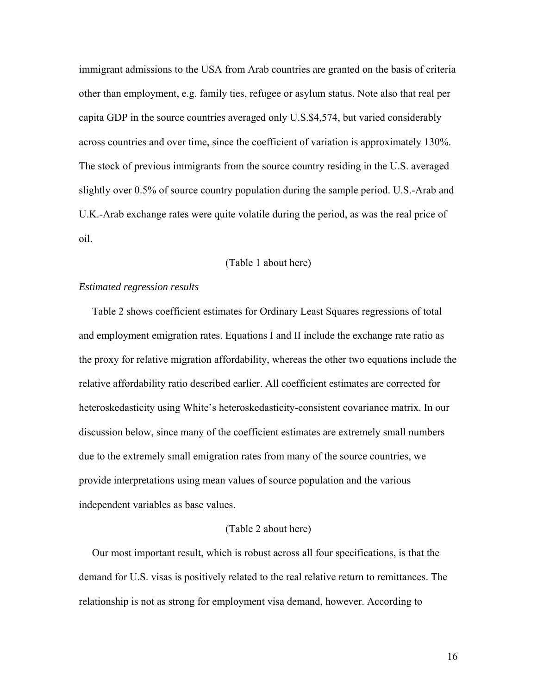immigrant admissions to the USA from Arab countries are granted on the basis of criteria other than employment, e.g. family ties, refugee or asylum status. Note also that real per capita GDP in the source countries averaged only U.S.\$4,574, but varied considerably across countries and over time, since the coefficient of variation is approximately 130%. The stock of previous immigrants from the source country residing in the U.S. averaged slightly over 0.5% of source country population during the sample period. U.S.-Arab and U.K.-Arab exchange rates were quite volatile during the period, as was the real price of oil.

# (Table 1 about here)

# *Estimated regression results*

 Table 2 shows coefficient estimates for Ordinary Least Squares regressions of total and employment emigration rates. Equations I and II include the exchange rate ratio as the proxy for relative migration affordability, whereas the other two equations include the relative affordability ratio described earlier. All coefficient estimates are corrected for heteroskedasticity using White's heteroskedasticity-consistent covariance matrix. In our discussion below, since many of the coefficient estimates are extremely small numbers due to the extremely small emigration rates from many of the source countries, we provide interpretations using mean values of source population and the various independent variables as base values.

#### (Table 2 about here)

 Our most important result, which is robust across all four specifications, is that the demand for U.S. visas is positively related to the real relative return to remittances. The relationship is not as strong for employment visa demand, however. According to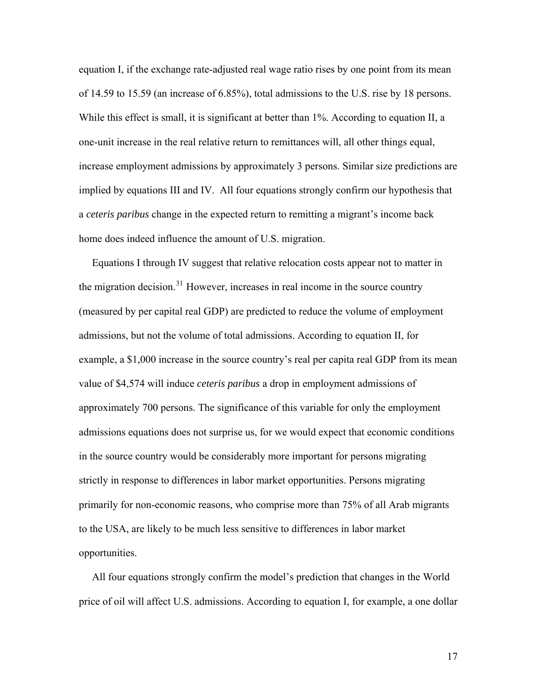equation I, if the exchange rate-adjusted real wage ratio rises by one point from its mean of 14.59 to 15.59 (an increase of 6.85%), total admissions to the U.S. rise by 18 persons. While this effect is small, it is significant at better than 1%. According to equation II, a one-unit increase in the real relative return to remittances will, all other things equal, increase employment admissions by approximately 3 persons. Similar size predictions are implied by equations III and IV. All four equations strongly confirm our hypothesis that a *ceteris paribus* change in the expected return to remitting a migrant's income back home does indeed influence the amount of U.S. migration.

 Equations I through IV suggest that relative relocation costs appear not to matter in the migration decision.<sup>[31](#page-31-1)</sup> However, increases in real income in the source country (measured by per capital real GDP) are predicted to reduce the volume of employment admissions, but not the volume of total admissions. According to equation II, for example, a \$1,000 increase in the source country's real per capita real GDP from its mean value of \$4,574 will induce *ceteris paribus* a drop in employment admissions of approximately 700 persons. The significance of this variable for only the employment admissions equations does not surprise us, for we would expect that economic conditions in the source country would be considerably more important for persons migrating strictly in response to differences in labor market opportunities. Persons migrating primarily for non-economic reasons, who comprise more than 75% of all Arab migrants to the USA, are likely to be much less sensitive to differences in labor market opportunities.

 All four equations strongly confirm the model's prediction that changes in the World price of oil will affect U.S. admissions. According to equation I, for example, a one dollar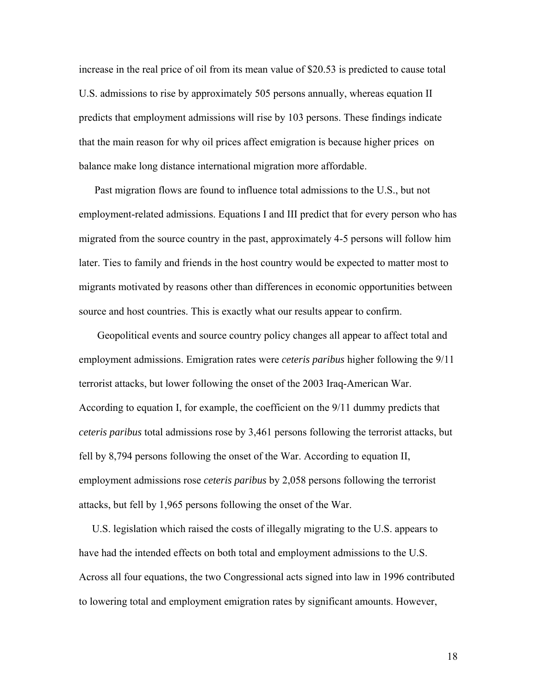increase in the real price of oil from its mean value of \$20.53 is predicted to cause total U.S. admissions to rise by approximately 505 persons annually, whereas equation II predicts that employment admissions will rise by 103 persons. These findings indicate that the main reason for why oil prices affect emigration is because higher prices on balance make long distance international migration more affordable.

 Past migration flows are found to influence total admissions to the U.S., but not employment-related admissions. Equations I and III predict that for every person who has migrated from the source country in the past, approximately 4-5 persons will follow him later. Ties to family and friends in the host country would be expected to matter most to migrants motivated by reasons other than differences in economic opportunities between source and host countries. This is exactly what our results appear to confirm.

 Geopolitical events and source country policy changes all appear to affect total and employment admissions. Emigration rates were *ceteris paribus* higher following the 9/11 terrorist attacks, but lower following the onset of the 2003 Iraq-American War. According to equation I, for example, the coefficient on the 9/11 dummy predicts that *ceteris paribus* total admissions rose by 3,461 persons following the terrorist attacks, but fell by 8,794 persons following the onset of the War. According to equation II, employment admissions rose *ceteris paribus* by 2,058 persons following the terrorist attacks, but fell by 1,965 persons following the onset of the War.

 U.S. legislation which raised the costs of illegally migrating to the U.S. appears to have had the intended effects on both total and employment admissions to the U.S. Across all four equations, the two Congressional acts signed into law in 1996 contributed to lowering total and employment emigration rates by significant amounts. However,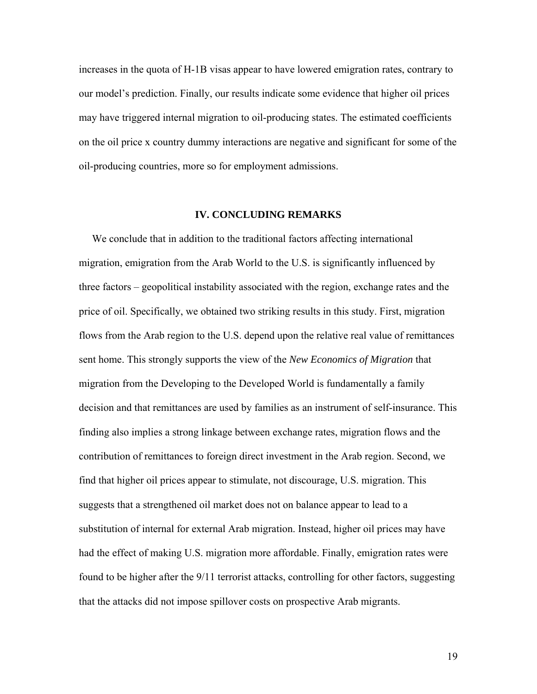increases in the quota of H-1B visas appear to have lowered emigration rates, contrary to our model's prediction. Finally, our results indicate some evidence that higher oil prices may have triggered internal migration to oil-producing states. The estimated coefficients on the oil price x country dummy interactions are negative and significant for some of the oil-producing countries, more so for employment admissions.

## **IV. CONCLUDING REMARKS**

 We conclude that in addition to the traditional factors affecting international migration, emigration from the Arab World to the U.S. is significantly influenced by three factors – geopolitical instability associated with the region, exchange rates and the price of oil. Specifically, we obtained two striking results in this study. First, migration flows from the Arab region to the U.S. depend upon the relative real value of remittances sent home. This strongly supports the view of the *New Economics of Migration* that migration from the Developing to the Developed World is fundamentally a family decision and that remittances are used by families as an instrument of self-insurance. This finding also implies a strong linkage between exchange rates, migration flows and the contribution of remittances to foreign direct investment in the Arab region. Second, we find that higher oil prices appear to stimulate, not discourage, U.S. migration. This suggests that a strengthened oil market does not on balance appear to lead to a substitution of internal for external Arab migration. Instead, higher oil prices may have had the effect of making U.S. migration more affordable. Finally, emigration rates were found to be higher after the 9/11 terrorist attacks, controlling for other factors, suggesting that the attacks did not impose spillover costs on prospective Arab migrants.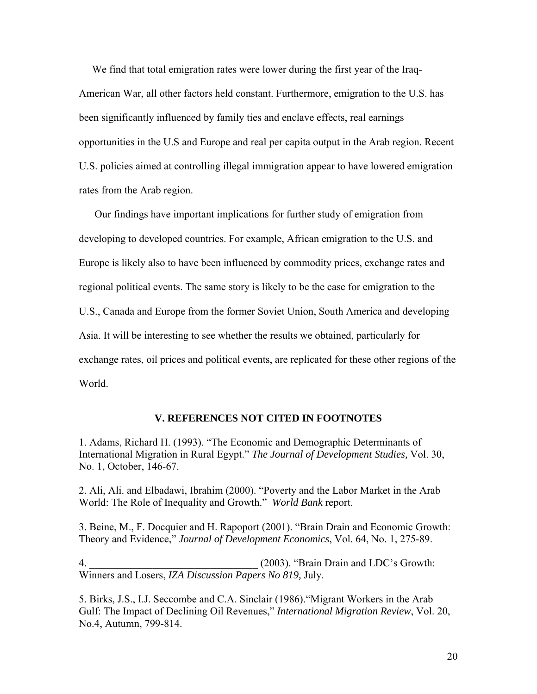We find that total emigration rates were lower during the first year of the Iraq-American War, all other factors held constant. Furthermore, emigration to the U.S. has been significantly influenced by family ties and enclave effects, real earnings opportunities in the U.S and Europe and real per capita output in the Arab region. Recent U.S. policies aimed at controlling illegal immigration appear to have lowered emigration rates from the Arab region.

 Our findings have important implications for further study of emigration from developing to developed countries. For example, African emigration to the U.S. and Europe is likely also to have been influenced by commodity prices, exchange rates and regional political events. The same story is likely to be the case for emigration to the U.S., Canada and Europe from the former Soviet Union, South America and developing Asia. It will be interesting to see whether the results we obtained, particularly for exchange rates, oil prices and political events, are replicated for these other regions of the World.

## **V. REFERENCES NOT CITED IN FOOTNOTES**

1. Adams, Richard H. (1993). "The Economic and Demographic Determinants of International Migration in Rural Egypt." *The Journal of Development Studies,* Vol. 30, No. 1, October, 146-67.

2. Ali, Ali. and Elbadawi, Ibrahim (2000). "Poverty and the Labor Market in the Arab World: The Role of Inequality and Growth." *World Bank* report.

3. Beine, M., F. Docquier and H. Rapoport (2001). "Brain Drain and Economic Growth: Theory and Evidence," *Journal of Development Economics*, Vol. 64, No. 1, 275-89.

4.  $(2003)$ . "Brain Drain and LDC's Growth: Winners and Losers, *IZA Discussion Papers No 819,* July.

5. Birks, J.S., I.J. Seccombe and C.A. Sinclair (1986)."Migrant Workers in the Arab Gulf: The Impact of Declining Oil Revenues," *International Migration Review*, Vol. 20, No.4, Autumn, 799-814.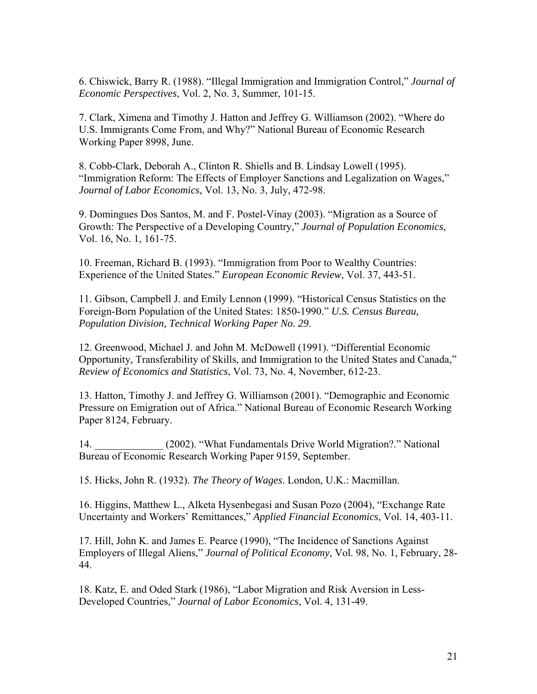6. Chiswick, Barry R. (1988). "Illegal Immigration and Immigration Control," *Journal of Economic Perspectives*, Vol. 2, No. 3, Summer, 101-15.

7. Clark, Ximena and Timothy J. Hatton and Jeffrey G. Williamson (2002). "Where do U.S. Immigrants Come From, and Why?" National Bureau of Economic Research Working Paper 8998, June.

8. Cobb-Clark, Deborah A., Clinton R. Shiells and B. Lindsay Lowell (1995). "Immigration Reform: The Effects of Employer Sanctions and Legalization on Wages," *Journal of Labor Economics*, Vol. 13, No. 3, July, 472-98.

9. Domingues Dos Santos, M. and F. Postel-Vinay (2003). "Migration as a Source of Growth: The Perspective of a Developing Country," *Journal of Population Economics*, Vol. 16, No. 1, 161-75.

10. Freeman, Richard B. (1993). "Immigration from Poor to Wealthy Countries: Experience of the United States." *European Economic Review*, Vol. 37, 443-51.

11. Gibson, Campbell J. and Emily Lennon (1999). "Historical Census Statistics on the Foreign-Born Population of the United States: 1850-1990." *U.S. Census Bureau, Population Division, Technical Working Paper No. 29*.

12. Greenwood, Michael J. and John M. McDowell (1991). "Differential Economic Opportunity, Transferability of Skills, and Immigration to the United States and Canada," *Review of Economics and Statistics*, Vol. 73, No. 4, November, 612-23.

13. Hatton, Timothy J. and Jeffrey G. Williamson (2001). "Demographic and Economic Pressure on Emigration out of Africa." National Bureau of Economic Research Working Paper 8124, February.

14. \_\_\_\_\_\_\_\_\_\_\_\_\_ (2002). "What Fundamentals Drive World Migration?." National Bureau of Economic Research Working Paper 9159, September.

15. Hicks, John R. (1932). *The Theory of Wages*. London, U.K.: Macmillan.

16. Higgins, Matthew L., Alketa Hysenbegasi and Susan Pozo (2004), "Exchange Rate Uncertainty and Workers' Remittances," *Applied Financial Economics*, Vol. 14, 403-11.

17. Hill, John K. and James E. Pearce (1990), "The Incidence of Sanctions Against Employers of Illegal Aliens," *Journal of Political Economy*, Vol. 98, No. 1, February, 28- 44.

18. Katz, E. and Oded Stark (1986), "Labor Migration and Risk Aversion in Less-Developed Countries," *Journal of Labor Economics*, Vol. 4, 131-49.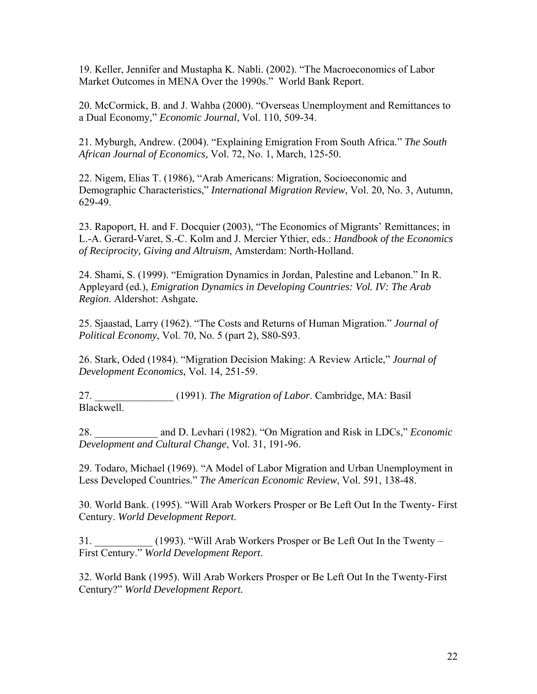19. Keller, Jennifer and Mustapha K. Nabli. (2002). "The Macroeconomics of Labor Market Outcomes in MENA Over the 1990s." World Bank Report.

20. McCormick, B. and J. Wahba (2000). "Overseas Unemployment and Remittances to a Dual Economy," *Economic Journal*, Vol. 110, 509-34.

21. Myburgh, Andrew. (2004). "Explaining Emigration From South Africa." *The South African Journal of Economics,* Vol. 72, No. 1, March, 125-50.

22. Nigem, Elias T. (1986), "Arab Americans: Migration, Socioeconomic and Demographic Characteristics," *International Migration Review*, Vol. 20, No. 3, Autumn, 629-49.

23. Rapoport, H. and F. Docquier (2003), "The Economics of Migrants' Remittances; in L.-A. Gerard-Varet, S.-C. Kolm and J. Mercier Ythier, eds.: *Handbook of the Economics of Reciprocity, Giving and Altruism*, Amsterdam: North-Holland.

24. Shami, S. (1999). "Emigration Dynamics in Jordan, Palestine and Lebanon." In R. Appleyard (ed.), *Emigration Dynamics in Developing Countries: Vol. IV: The Arab Region*. Aldershot: Ashgate.

25. Sjaastad, Larry (1962). "The Costs and Returns of Human Migration." *Journal of Political Economy*, Vol. 70, No. 5 (part 2), S80-S93.

26. Stark, Oded (1984). "Migration Decision Making: A Review Article," *Journal of Development Economics*, Vol. 14, 251-59.

27. \_\_\_\_\_\_\_\_\_\_\_\_\_\_\_ (1991). *The Migration of Labor*. Cambridge, MA: Basil Blackwell.

28. \_\_\_\_\_\_\_\_\_\_\_\_ and D. Levhari (1982). "On Migration and Risk in LDCs," *Economic Development and Cultural Change*, Vol. 31, 191-96.

29. Todaro, Michael (1969). "A Model of Labor Migration and Urban Unemployment in Less Developed Countries." *The American Economic Review*, Vol. 591, 138-48.

30. World Bank. (1995). "Will Arab Workers Prosper or Be Left Out In the Twenty- First Century. *World Development Report*.

31. \_\_\_\_\_\_\_\_\_\_\_ (1993). "Will Arab Workers Prosper or Be Left Out In the Twenty – First Century." *World Development Report*.

32. World Bank (1995). Will Arab Workers Prosper or Be Left Out In the Twenty-First Century?" *World Development Report.*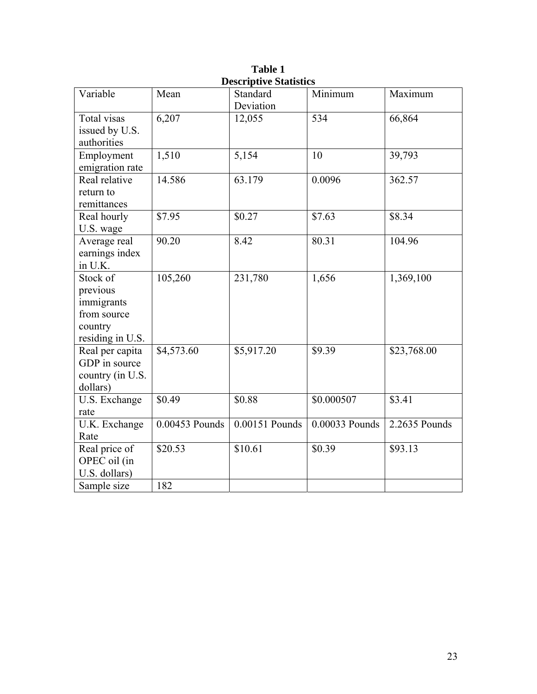| Variable                      | Mean           | DUSCI IPU VU DIAUSIIUS<br>Standard | Minimum        | Maximum       |
|-------------------------------|----------------|------------------------------------|----------------|---------------|
|                               |                | Deviation                          |                |               |
| Total visas                   | 6,207          | 12,055                             | 534            | 66,864        |
| issued by U.S.                |                |                                    |                |               |
| authorities                   |                |                                    |                |               |
| Employment                    | 1,510          | 5,154                              | 10             | 39,793        |
| emigration rate               |                |                                    |                |               |
| Real relative                 | 14.586         | 63.179                             | 0.0096         | 362.57        |
| return to                     |                |                                    |                |               |
| remittances                   |                |                                    |                |               |
| Real hourly                   | \$7.95         | \$0.27                             | \$7.63         | \$8.34        |
| U.S. wage                     |                |                                    |                |               |
| Average real                  | 90.20          | 8.42                               | 80.31          | 104.96        |
| earnings index                |                |                                    |                |               |
| in U.K.                       |                |                                    |                |               |
| Stock of                      | 105,260        | 231,780                            | 1,656          | 1,369,100     |
| previous                      |                |                                    |                |               |
| immigrants                    |                |                                    |                |               |
| from source                   |                |                                    |                |               |
| country                       |                |                                    |                |               |
| residing in U.S.              |                |                                    |                |               |
| Real per capita               | \$4,573.60     | \$5,917.20                         | \$9.39         | \$23,768.00   |
| GDP in source                 |                |                                    |                |               |
| country (in U.S.              |                |                                    |                |               |
| dollars)                      |                |                                    |                |               |
| U.S. Exchange                 | \$0.49         | \$0.88                             | \$0.000507     | \$3.41        |
| rate                          |                |                                    |                |               |
| U.K. Exchange                 | 0.00453 Pounds | 0.00151 Pounds                     | 0.00033 Pounds | 2.2635 Pounds |
| Rate                          | \$20.53        | \$10.61                            | \$0.39         | \$93.13       |
| Real price of                 |                |                                    |                |               |
| OPEC oil (in<br>U.S. dollars) |                |                                    |                |               |
|                               | 182            |                                    |                |               |
| Sample size                   |                |                                    |                |               |

**Table 1 Descriptive Statistics**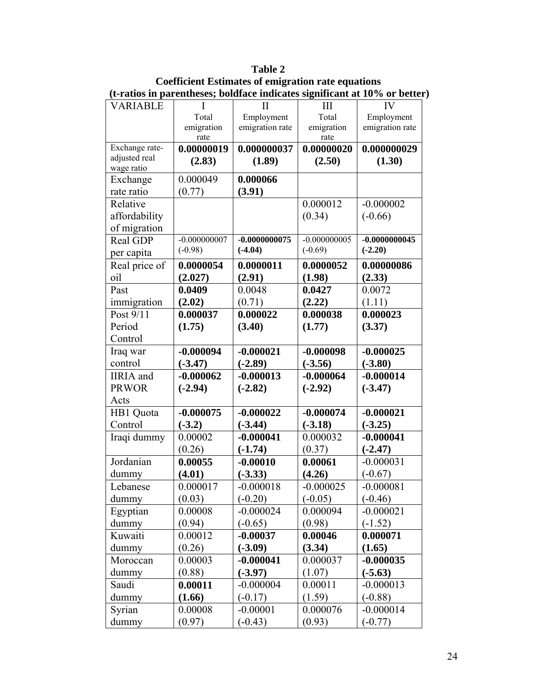|                        | (t-ratios in parentheses; boldface indicates significant at 10% or better |                 |                    |                 |  |  |  |  |
|------------------------|---------------------------------------------------------------------------|-----------------|--------------------|-----------------|--|--|--|--|
| <b>VARIABLE</b>        |                                                                           | $\mathbf{I}$    | III                | IV              |  |  |  |  |
|                        | Total                                                                     | Employment      | Total              | Employment      |  |  |  |  |
|                        | emigration<br>rate                                                        | emigration rate | emigration<br>rate | emigration rate |  |  |  |  |
| Exchange rate-         | 0.00000019                                                                | 0.000000037     | 0.00000020         | 0.000000029     |  |  |  |  |
| adjusted real          | (2.83)                                                                    | (1.89)          | (2.50)             | (1.30)          |  |  |  |  |
| wage ratio<br>Exchange | 0.000049                                                                  | 0.000066        |                    |                 |  |  |  |  |
| rate ratio             | (0.77)                                                                    |                 |                    |                 |  |  |  |  |
| Relative               |                                                                           | (3.91)          | 0.000012           | $-0.000002$     |  |  |  |  |
| affordability          |                                                                           |                 | (0.34)             | $(-0.66)$       |  |  |  |  |
| of migration           |                                                                           |                 |                    |                 |  |  |  |  |
| Real GDP               | $-0.000000007$                                                            | $-0.0000000075$ | $-0.000000005$     | $-0.0000000045$ |  |  |  |  |
|                        | $(-0.98)$                                                                 | $(-4.04)$       | $(-0.69)$          | $(-2.20)$       |  |  |  |  |
| per capita             |                                                                           |                 | 0.0000052          |                 |  |  |  |  |
| Real price of          | 0.0000054                                                                 | 0.0000011       |                    | 0.00000086      |  |  |  |  |
| oil                    | (2.027)                                                                   | (2.91)          | (1.98)             | (2.33)          |  |  |  |  |
| Past                   | 0.0409                                                                    | 0.0048          | 0.0427             | 0.0072          |  |  |  |  |
| immigration            | (2.02)                                                                    | (0.71)          | (2.22)             | (1.11)          |  |  |  |  |
| Post 9/11              | 0.000037                                                                  | 0.000022        | 0.000038           | 0.000023        |  |  |  |  |
| Period                 | (1.75)                                                                    | (3.40)          | (1.77)             | (3.37)          |  |  |  |  |
| Control                |                                                                           |                 |                    |                 |  |  |  |  |
| Iraq war               | $-0.000094$                                                               | $-0.000021$     | $-0.000098$        | $-0.000025$     |  |  |  |  |
| control                | $(-3.47)$                                                                 | $(-2.89)$       | $(-3.56)$          | $(-3.80)$       |  |  |  |  |
| <b>IIRIA</b> and       | $-0.000062$                                                               | $-0.000013$     | $-0.000064$        | $-0.000014$     |  |  |  |  |
| <b>PRWOR</b>           | $(-2.94)$                                                                 | $(-2.82)$       | $(-2.92)$          | $(-3.47)$       |  |  |  |  |
| Acts                   |                                                                           |                 |                    |                 |  |  |  |  |
| HB1 Quota              | $-0.000075$                                                               | $-0.000022$     | $-0.000074$        | $-0.000021$     |  |  |  |  |
| Control                | $(-3.2)$                                                                  | $(-3.44)$       | $(-3.18)$          | $(-3.25)$       |  |  |  |  |
| Iraqi dummy            | 0.00002                                                                   | $-0.000041$     | 0.000032           | $-0.000041$     |  |  |  |  |
|                        | (0.26)                                                                    | $(-1.74)$       | (0.37)             | $(-2.47)$       |  |  |  |  |
| Jordanian              | 0.00055                                                                   | $-0.00010$      | 0.00061            | $-0.000031$     |  |  |  |  |
| dummy                  | (4.01)                                                                    | $(-3.33)$       | (4.26)             | $(-0.67)$       |  |  |  |  |
| Lebanese               | 0.000017                                                                  | $-0.000018$     | $-0.000025$        | $-0.000081$     |  |  |  |  |
| dummy                  | (0.03)                                                                    | $(-0.20)$       | $(-0.05)$          | $(-0.46)$       |  |  |  |  |
| Egyptian               | 0.00008                                                                   | $-0.000024$     | 0.000094           | $-0.000021$     |  |  |  |  |
| dummy                  | (0.94)                                                                    | $(-0.65)$       | (0.98)             | $(-1.52)$       |  |  |  |  |
| Kuwaiti                | 0.00012                                                                   | $-0.00037$      | 0.00046            | 0.000071        |  |  |  |  |
| dummy                  | (0.26)                                                                    | $(-3.09)$       | (3.34)             | (1.65)          |  |  |  |  |
| Moroccan               | 0.00003                                                                   | $-0.000041$     | 0.000037           | $-0.000035$     |  |  |  |  |
| dummy                  | (0.88)                                                                    | $(-3.97)$       | (1.07)             | $(-5.63)$       |  |  |  |  |
| Saudi                  | 0.00011                                                                   | $-0.000004$     | 0.00011            | $-0.000013$     |  |  |  |  |
| dummy                  | (1.66)                                                                    | $(-0.17)$       | (1.59)             | $(-0.88)$       |  |  |  |  |
| Syrian                 | 0.00008                                                                   | $-0.00001$      | 0.000076           | $-0.000014$     |  |  |  |  |
| dummy                  | (0.97)                                                                    | $(-0.43)$       | (0.93)             | $(-0.77)$       |  |  |  |  |

**Table 2 Coefficient Estimates of emigration rate equations (t-ratios in parentheses; boldface indicates significant at 10% or better)**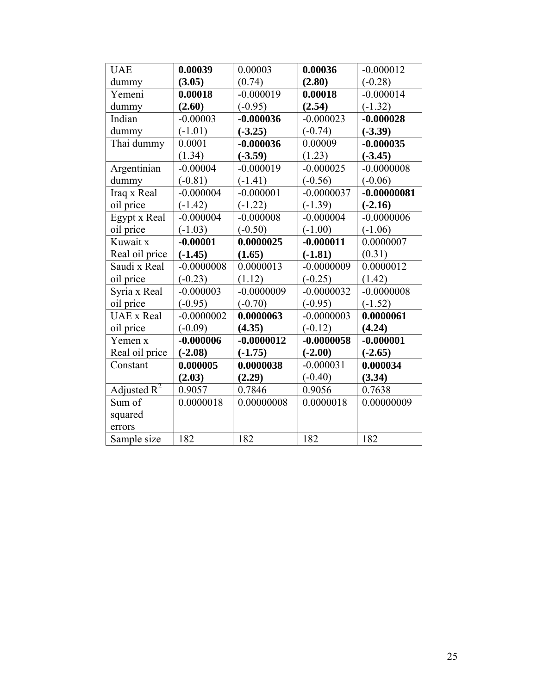| <b>UAE</b>                | 0.00039      | 0.00003      | 0.00036      | $-0.000012$   |
|---------------------------|--------------|--------------|--------------|---------------|
| dummy                     | (3.05)       | (0.74)       | (2.80)       | $(-0.28)$     |
| Yemeni                    | 0.00018      | $-0.000019$  | 0.00018      | $-0.000014$   |
| dummy                     | (2.60)       | $(-0.95)$    | (2.54)       | $(-1.32)$     |
| Indian                    | $-0.00003$   | $-0.000036$  | $-0.000023$  | $-0.000028$   |
| dummy                     | $(-1.01)$    | $(-3.25)$    | $(-0.74)$    | $(-3.39)$     |
| Thai dummy                | 0.0001       | $-0.000036$  | 0.00009      | $-0.000035$   |
|                           | (1.34)       | $(-3.59)$    | (1.23)       | $(-3.45)$     |
| Argentinian               | $-0.00004$   | $-0.000019$  | $-0.000025$  | $-0.0000008$  |
| dummy                     | $(-0.81)$    | $(-1.41)$    | $(-0.56)$    | $(-0.06)$     |
| Iraq x Real               | $-0.000004$  | $-0.000001$  | $-0.0000037$ | $-0.00000081$ |
| oil price                 | $(-1.42)$    | $(-1.22)$    | $(-1.39)$    | $(-2.16)$     |
| Egypt x Real              | $-0.000004$  | $-0.000008$  | $-0.000004$  | $-0.0000006$  |
| oil price                 | $(-1.03)$    | $(-0.50)$    | $(-1.00)$    | $(-1.06)$     |
| Kuwait x                  | $-0.00001$   | 0.0000025    | $-0.000011$  | 0.0000007     |
| Real oil price            | $(-1.45)$    | (1.65)       | $(-1.81)$    | (0.31)        |
| Saudi x Real              | $-0.0000008$ | 0.0000013    | $-0.0000009$ | 0.0000012     |
| oil price                 | $(-0.23)$    | (1.12)       | $(-0.25)$    | (1.42)        |
| Syria x Real              | $-0.000003$  | $-0.0000009$ | $-0.0000032$ | $-0.0000008$  |
| oil price                 | $(-0.95)$    | $(-0.70)$    | $(-0.95)$    | $(-1.52)$     |
| <b>UAE</b> x Real         | $-0.0000002$ | 0.0000063    | $-0.0000003$ | 0.0000061     |
| oil price                 | $(-0.09)$    | (4.35)       | $(-0.12)$    | (4.24)        |
| Yemen x                   | $-0.000006$  | $-0.0000012$ | $-0.0000058$ | $-0.000001$   |
| Real oil price            | $(-2.08)$    | $(-1.75)$    | $(-2.00)$    | $(-2.65)$     |
| Constant                  | 0.000005     | 0.0000038    | $-0.000031$  | 0.000034      |
|                           | (2.03)       | (2.29)       | $(-0.40)$    | (3.34)        |
| Adjusted $\overline{R^2}$ | 0.9057       | 0.7846       | 0.9056       | 0.7638        |
| Sum of                    | 0.0000018    | 0.00000008   | 0.0000018    | 0.00000009    |
| squared                   |              |              |              |               |
| errors                    |              |              |              |               |
| Sample size               | 182          | 182          | 182          | 182           |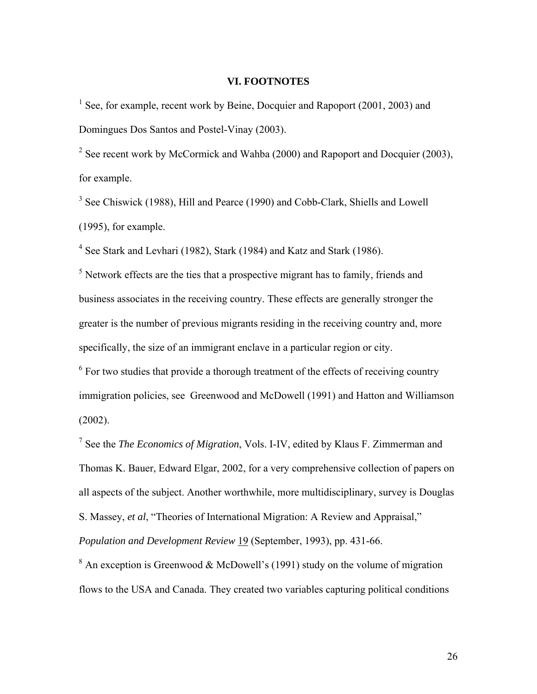# **VI. FOOTNOTES**

<sup>1</sup> See, for example, recent work by Beine, Docquier and Rapoport (2001, 2003) and Domingues Dos Santos and Postel-Vinay (2003).

<sup>2</sup> See recent work by McCormick and Wahba (2000) and Rapoport and Docquier (2003), for example.

<sup>3</sup> See Chiswick (1988), Hill and Pearce (1990) and Cobb-Clark, Shiells and Lowell (1995), for example.

<sup>4</sup> See Stark and Levhari (1982), Stark (1984) and Katz and Stark (1986).

 $<sup>5</sup>$  Network effects are the ties that a prospective migrant has to family, friends and</sup> business associates in the receiving country. These effects are generally stronger the greater is the number of previous migrants residing in the receiving country and, more specifically, the size of an immigrant enclave in a particular region or city.

 $6$  For two studies that provide a thorough treatment of the effects of receiving country immigration policies, see Greenwood and McDowell (1991) and Hatton and Williamson (2002).

7 See the *The Economics of Migration*, Vols. I-IV, edited by Klaus F. Zimmerman and Thomas K. Bauer, Edward Elgar, 2002, for a very comprehensive collection of papers on all aspects of the subject. Another worthwhile, more multidisciplinary, survey is Douglas S. Massey, *et al*, "Theories of International Migration: A Review and Appraisal,"

*Population and Development Review* 19 (September, 1993), pp. 431-66.

<sup>8</sup> An exception is Greenwood & McDowell's (1991) study on the volume of migration flows to the USA and Canada. They created two variables capturing political conditions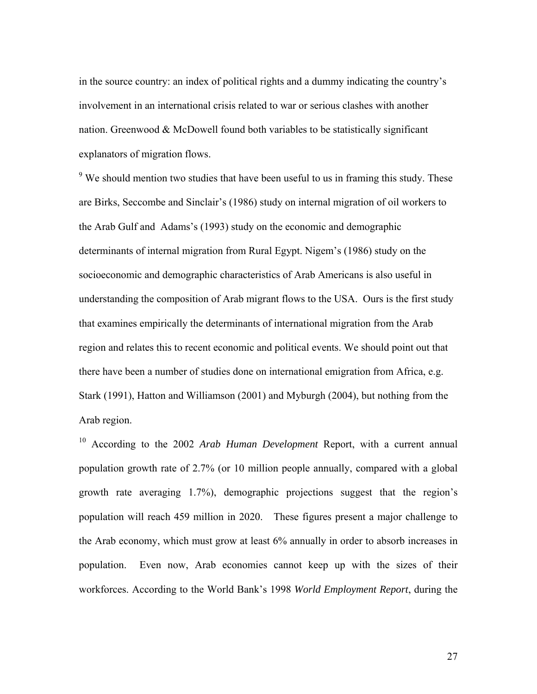in the source country: an index of political rights and a dummy indicating the country's involvement in an international crisis related to war or serious clashes with another nation. Greenwood  $&$  McDowell found both variables to be statistically significant explanators of migration flows.

 $9$  We should mention two studies that have been useful to us in framing this study. These are Birks, Seccombe and Sinclair's (1986) study on internal migration of oil workers to the Arab Gulf and Adams's (1993) study on the economic and demographic determinants of internal migration from Rural Egypt. Nigem's (1986) study on the socioeconomic and demographic characteristics of Arab Americans is also useful in understanding the composition of Arab migrant flows to the USA. Ours is the first study that examines empirically the determinants of international migration from the Arab region and relates this to recent economic and political events. We should point out that there have been a number of studies done on international emigration from Africa, e.g. Stark (1991), Hatton and Williamson (2001) and Myburgh (2004), but nothing from the Arab region.

10 According to the 2002 *Arab Human Development* Report, with a current annual population growth rate of 2.7% (or 10 million people annually, compared with a global growth rate averaging 1.7%), demographic projections suggest that the region's population will reach 459 million in 2020. These figures present a major challenge to the Arab economy, which must grow at least 6% annually in order to absorb increases in population. Even now, Arab economies cannot keep up with the sizes of their workforces. According to the World Bank's 1998 *World Employment Report*, during the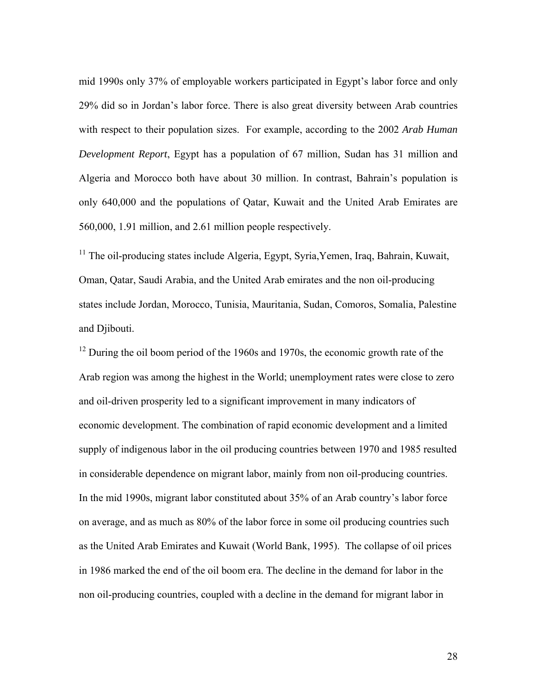mid 1990s only 37% of employable workers participated in Egypt's labor force and only 29% did so in Jordan's labor force. There is also great diversity between Arab countries with respect to their population sizes. For example, according to the 2002 *Arab Human Development Report*, Egypt has a population of 67 million, Sudan has 31 million and Algeria and Morocco both have about 30 million. In contrast, Bahrain's population is only 640,000 and the populations of Qatar, Kuwait and the United Arab Emirates are 560,000, 1.91 million, and 2.61 million people respectively.

 $11$  The oil-producing states include Algeria, Egypt, Syria, Yemen, Iraq, Bahrain, Kuwait, Oman, Qatar, Saudi Arabia, and the United Arab emirates and the non oil-producing states include Jordan, Morocco, Tunisia, Mauritania, Sudan, Comoros, Somalia, Palestine and Djibouti.

 $12$  During the oil boom period of the 1960s and 1970s, the economic growth rate of the Arab region was among the highest in the World; unemployment rates were close to zero and oil-driven prosperity led to a significant improvement in many indicators of economic development. The combination of rapid economic development and a limited supply of indigenous labor in the oil producing countries between 1970 and 1985 resulted in considerable dependence on migrant labor, mainly from non oil-producing countries. In the mid 1990s, migrant labor constituted about 35% of an Arab country's labor force on average, and as much as 80% of the labor force in some oil producing countries such as the United Arab Emirates and Kuwait (World Bank, 1995). The collapse of oil prices in 1986 marked the end of the oil boom era. The decline in the demand for labor in the non oil-producing countries, coupled with a decline in the demand for migrant labor in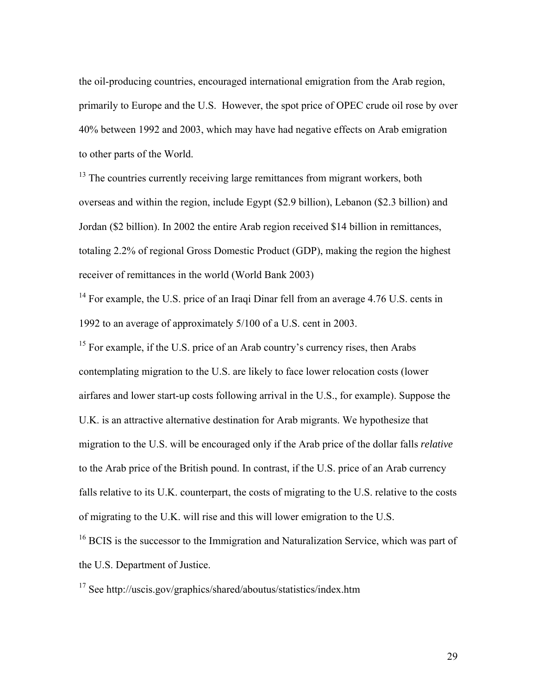the oil-producing countries, encouraged international emigration from the Arab region, primarily to Europe and the U.S. However, the spot price of OPEC crude oil rose by over 40% between 1992 and 2003, which may have had negative effects on Arab emigration to other parts of the World.

<sup>13</sup> The countries currently receiving large remittances from migrant workers, both overseas and within the region, include Egypt (\$2.9 billion), Lebanon (\$2.3 billion) and Jordan (\$2 billion). In 2002 the entire Arab region received \$14 billion in remittances, totaling 2.2% of regional Gross Domestic Product (GDP), making the region the highest receiver of remittances in the world (World Bank 2003)

 $14$  For example, the U.S. price of an Iraqi Dinar fell from an average 4.76 U.S. cents in 1992 to an average of approximately 5/100 of a U.S. cent in 2003.

 $15$  For example, if the U.S. price of an Arab country's currency rises, then Arabs contemplating migration to the U.S. are likely to face lower relocation costs (lower airfares and lower start-up costs following arrival in the U.S., for example). Suppose the U.K. is an attractive alternative destination for Arab migrants. We hypothesize that migration to the U.S. will be encouraged only if the Arab price of the dollar falls *relative* to the Arab price of the British pound. In contrast, if the U.S. price of an Arab currency falls relative to its U.K. counterpart, the costs of migrating to the U.S. relative to the costs of migrating to the U.K. will rise and this will lower emigration to the U.S.

<sup>16</sup> BCIS is the successor to the Immigration and Naturalization Service, which was part of the U.S. Department of Justice.

 $17$  See http://uscis.gov/graphics/shared/aboutus/statistics/index.htm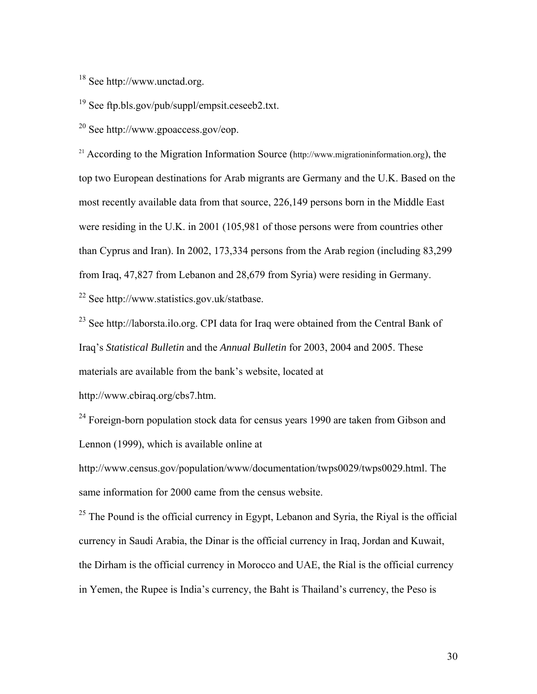18 See http://www.unctad.org.

19 See ftp.bls.gov/pub/suppl/empsit.ceseeb2.txt.

20 See http://www.gpoaccess.gov/eop.

<sup>21</sup> According to the Migration Information Source ( $http://www.migration information.org)$ , the top two European destinations for Arab migrants are Germany and the U.K. Based on the most recently available data from that source, 226,149 persons born in the Middle East were residing in the U.K. in 2001 (105,981 of those persons were from countries other than Cyprus and Iran). In 2002, 173,334 persons from the Arab region (including 83,299 from Iraq, 47,827 from Lebanon and 28,679 from Syria) were residing in Germany. 22 See http://www.statistics.gov.uk/statbase.

<sup>23</sup> See http://laborsta.ilo.org. CPI data for Iraq were obtained from the Central Bank of Iraq's *Statistical Bulletin* and the *Annual Bulletin* for 2003, 2004 and 2005. These materials are available from the bank's website, located at

http://www.cbiraq.org/cbs7.htm.

 $24$  Foreign-born population stock data for census years 1990 are taken from Gibson and Lennon (1999), which is available online at

http://www.census.gov/population/www/documentation/twps0029/twps0029.html. The same information for 2000 came from the census website.

 $25$  The Pound is the official currency in Egypt, Lebanon and Syria, the Riyal is the official currency in Saudi Arabia, the Dinar is the official currency in Iraq, Jordan and Kuwait, the Dirham is the official currency in Morocco and UAE, the Rial is the official currency in Yemen, the Rupee is India's currency, the Baht is Thailand's currency, the Peso is